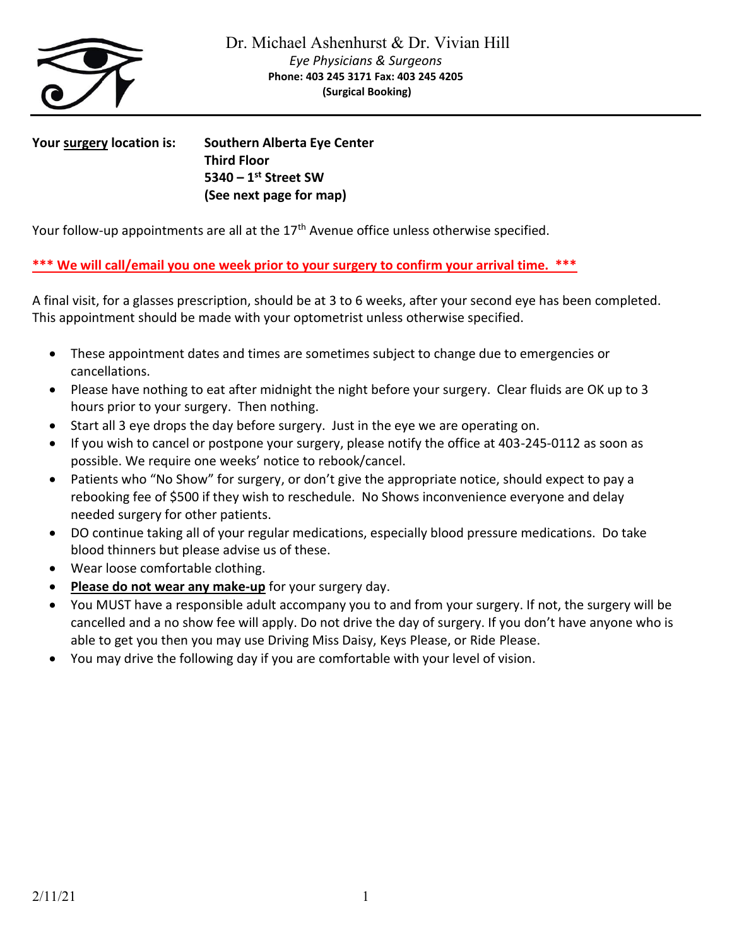

**Your surgery location is: Southern Alberta Eye Center Third Floor 5340 – 1 st Street SW (See next page for map)**

Your follow-up appointments are all at the 17<sup>th</sup> Avenue office unless otherwise specified.

## **\*\*\* We will call/email you one week prior to your surgery to confirm your arrival time. \*\*\***

A final visit, for a glasses prescription, should be at 3 to 6 weeks, after your second eye has been completed. This appointment should be made with your optometrist unless otherwise specified.

- These appointment dates and times are sometimes subject to change due to emergencies or cancellations.
- Please have nothing to eat after midnight the night before your surgery. Clear fluids are OK up to 3 hours prior to your surgery. Then nothing.
- Start all 3 eye drops the day before surgery. Just in the eye we are operating on.
- If you wish to cancel or postpone your surgery, please notify the office at 403-245-0112 as soon as possible. We require one weeks' notice to rebook/cancel.
- Patients who "No Show" for surgery, or don't give the appropriate notice, should expect to pay a rebooking fee of \$500 if they wish to reschedule. No Shows inconvenience everyone and delay needed surgery for other patients.
- DO continue taking all of your regular medications, especially blood pressure medications. Do take blood thinners but please advise us of these.
- Wear loose comfortable clothing.
- Please do not wear any make-up for your surgery day.
- You MUST have a responsible adult accompany you to and from your surgery. If not, the surgery will be cancelled and a no show fee will apply. Do not drive the day of surgery. If you don't have anyone who is able to get you then you may use Driving Miss Daisy, Keys Please, or Ride Please.
- You may drive the following day if you are comfortable with your level of vision.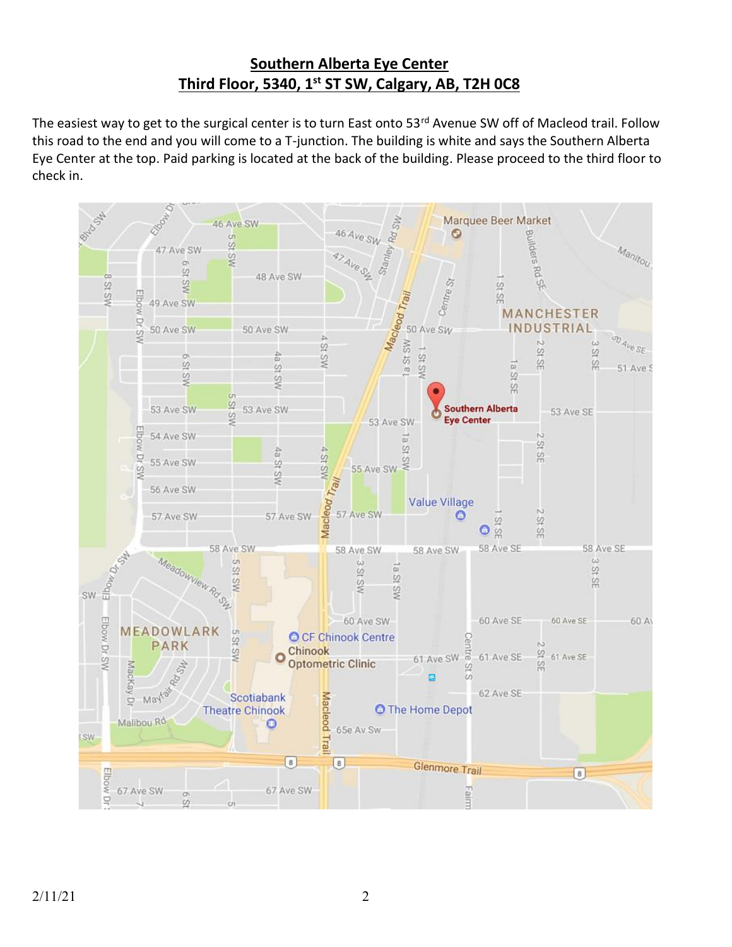# **Southern Alberta Eye Center Third Floor, 5340, 1st ST SW, Calgary, AB, T2H 0C8**

The easiest way to get to the surgical center is to turn East onto 53rd Avenue SW off of Macleod trail. Follow this road to the end and you will come to a T-junction. The building is white and says the Southern Alberta Eye Center at the top. Paid parking is located at the back of the building. Please proceed to the third floor to check in.

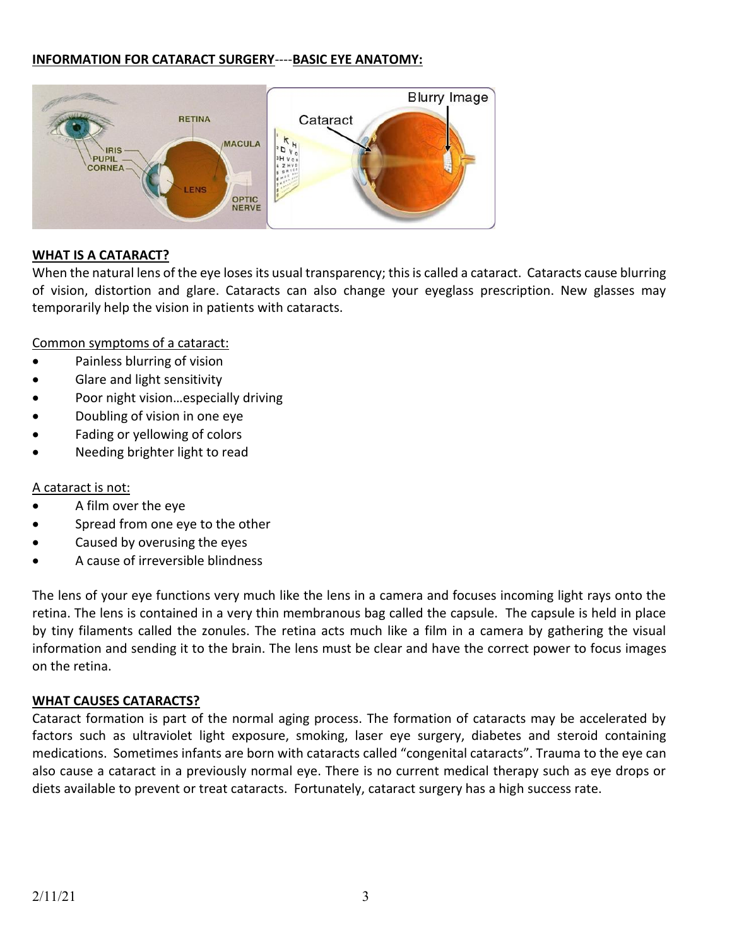#### **INFORMATION FOR CATARACT SURGERY**----**BASIC EYE ANATOMY:**



#### **WHAT IS A CATARACT?**

When the natural lens of the eye loses its usual transparency; this is called a cataract. Cataracts cause blurring of vision, distortion and glare. Cataracts can also change your eyeglass prescription. New glasses may temporarily help the vision in patients with cataracts.

Common symptoms of a cataract:

- Painless blurring of vision
- Glare and light sensitivity
- Poor night vision...especially driving
- Doubling of vision in one eye
- Fading or yellowing of colors
- Needing brighter light to read

#### A cataract is not:

- A film over the eye
- Spread from one eye to the other
- Caused by overusing the eyes
- A cause of irreversible blindness

The lens of your eye functions very much like the lens in a camera and focuses incoming light rays onto the retina. The lens is contained in a very thin membranous bag called the capsule. The capsule is held in place by tiny filaments called the zonules. The retina acts much like a film in a camera by gathering the visual information and sending it to the brain. The lens must be clear and have the correct power to focus images on the retina.

#### **WHAT CAUSES CATARACTS?**

Cataract formation is part of the normal aging process. The formation of cataracts may be accelerated by factors such as ultraviolet light exposure, smoking, laser eye surgery, diabetes and steroid containing medications. Sometimes infants are born with cataracts called "congenital cataracts". Trauma to the eye can also cause a cataract in a previously normal eye. There is no current medical therapy such as eye drops or diets available to prevent or treat cataracts. Fortunately, cataract surgery has a high success rate.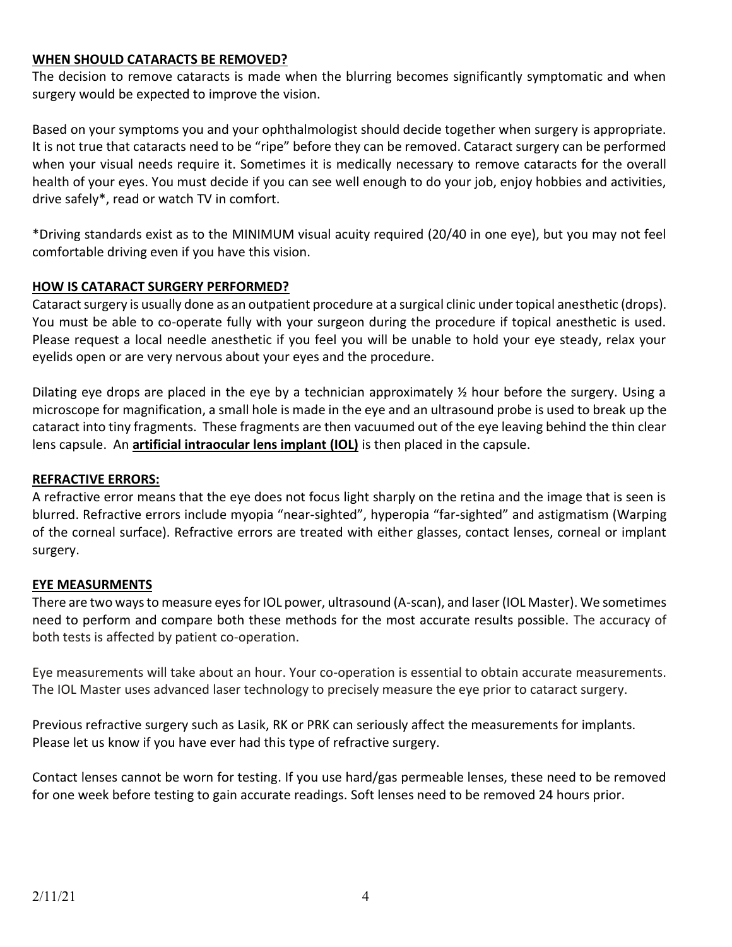#### **WHEN SHOULD CATARACTS BE REMOVED?**

The decision to remove cataracts is made when the blurring becomes significantly symptomatic and when surgery would be expected to improve the vision.

Based on your symptoms you and your ophthalmologist should decide together when surgery is appropriate. It is not true that cataracts need to be "ripe" before they can be removed. Cataract surgery can be performed when your visual needs require it. Sometimes it is medically necessary to remove cataracts for the overall health of your eyes. You must decide if you can see well enough to do your job, enjoy hobbies and activities, drive safely\*, read or watch TV in comfort.

\*Driving standards exist as to the MINIMUM visual acuity required (20/40 in one eye), but you may not feel comfortable driving even if you have this vision.

#### **HOW IS CATARACT SURGERY PERFORMED?**

Cataract surgery is usually done as an outpatient procedure at a surgical clinic under topical anesthetic (drops). You must be able to co-operate fully with your surgeon during the procedure if topical anesthetic is used. Please request a local needle anesthetic if you feel you will be unable to hold your eye steady, relax your eyelids open or are very nervous about your eyes and the procedure.

Dilating eye drops are placed in the eye by a technician approximately  $\frac{1}{2}$  hour before the surgery. Using a microscope for magnification, a small hole is made in the eye and an ultrasound probe is used to break up the cataract into tiny fragments. These fragments are then vacuumed out of the eye leaving behind the thin clear lens capsule. An **artificial intraocular lens implant (IOL)** is then placed in the capsule.

#### **REFRACTIVE ERRORS:**

A refractive error means that the eye does not focus light sharply on the retina and the image that is seen is blurred. Refractive errors include myopia "near-sighted", hyperopia "far-sighted" and astigmatism (Warping of the corneal surface). Refractive errors are treated with either glasses, contact lenses, corneal or implant surgery.

#### **EYE MEASURMENTS**

There are two ways to measure eyes for IOL power, ultrasound (A-scan), and laser (IOL Master). We sometimes need to perform and compare both these methods for the most accurate results possible. The accuracy of both tests is affected by patient co-operation.

Eye measurements will take about an hour. Your co-operation is essential to obtain accurate measurements. The IOL Master uses advanced laser technology to precisely measure the eye prior to cataract surgery.

Previous refractive surgery such as Lasik, RK or PRK can seriously affect the measurements for implants. Please let us know if you have ever had this type of refractive surgery.

Contact lenses cannot be worn for testing. If you use hard/gas permeable lenses, these need to be removed for one week before testing to gain accurate readings. Soft lenses need to be removed 24 hours prior.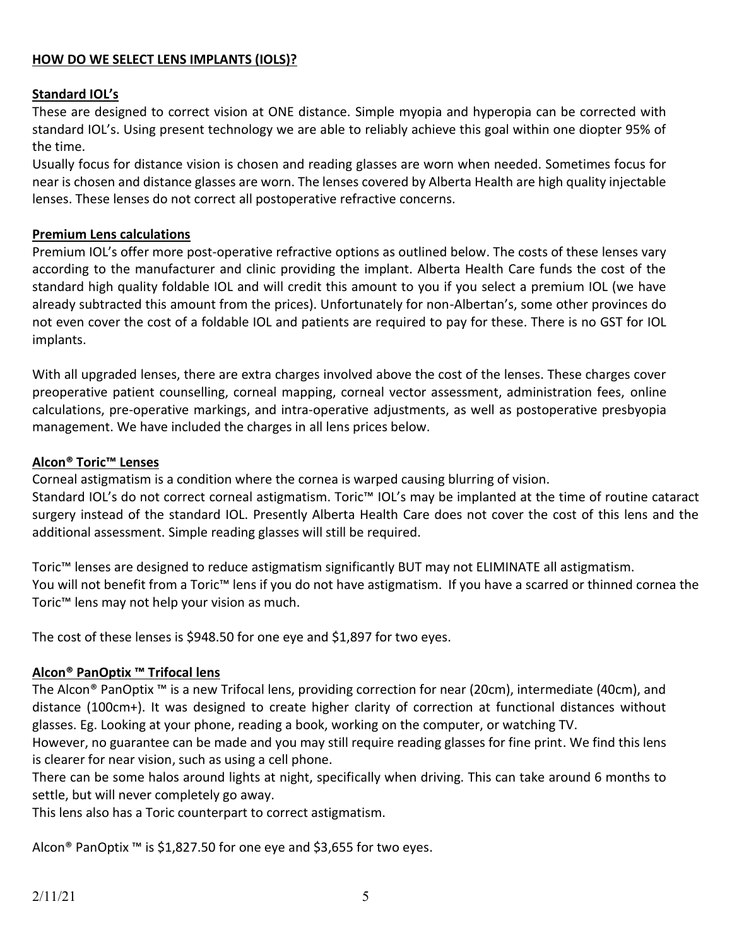#### **HOW DO WE SELECT LENS IMPLANTS (IOLS)?**

#### **Standard IOL's**

These are designed to correct vision at ONE distance. Simple myopia and hyperopia can be corrected with standard IOL's. Using present technology we are able to reliably achieve this goal within one diopter 95% of the time.

Usually focus for distance vision is chosen and reading glasses are worn when needed. Sometimes focus for near is chosen and distance glasses are worn. The lenses covered by Alberta Health are high quality injectable lenses. These lenses do not correct all postoperative refractive concerns.

#### **Premium Lens calculations**

Premium IOL's offer more post-operative refractive options as outlined below. The costs of these lenses vary according to the manufacturer and clinic providing the implant. Alberta Health Care funds the cost of the standard high quality foldable IOL and will credit this amount to you if you select a premium IOL (we have already subtracted this amount from the prices). Unfortunately for non-Albertan's, some other provinces do not even cover the cost of a foldable IOL and patients are required to pay for these. There is no GST for IOL implants.

With all upgraded lenses, there are extra charges involved above the cost of the lenses. These charges cover preoperative patient counselling, corneal mapping, corneal vector assessment, administration fees, online calculations, pre-operative markings, and intra-operative adjustments, as well as postoperative presbyopia management. We have included the charges in all lens prices below.

#### **Alcon® Toric™ Lenses**

Corneal astigmatism is a condition where the cornea is warped causing blurring of vision.

Standard IOL's do not correct corneal astigmatism. Toric™ IOL's may be implanted at the time of routine cataract surgery instead of the standard IOL. Presently Alberta Health Care does not cover the cost of this lens and the additional assessment. Simple reading glasses will still be required.

Toric™ lenses are designed to reduce astigmatism significantly BUT may not ELIMINATE all astigmatism. You will not benefit from a Toric™ lens if you do not have astigmatism. If you have a scarred or thinned cornea the Toric™ lens may not help your vision as much.

The cost of these lenses is \$948.50 for one eye and \$1,897 for two eyes.

#### **Alcon® PanOptix ™ Trifocal lens**

The Alcon® PanOptix ™ is a new Trifocal lens, providing correction for near (20cm), intermediate (40cm), and distance (100cm+). It was designed to create higher clarity of correction at functional distances without glasses. Eg. Looking at your phone, reading a book, working on the computer, or watching TV.

However, no guarantee can be made and you may still require reading glasses for fine print. We find this lens is clearer for near vision, such as using a cell phone.

There can be some halos around lights at night, specifically when driving. This can take around 6 months to settle, but will never completely go away.

This lens also has a Toric counterpart to correct astigmatism.

Alcon® PanOptix ™ is \$1,827.50 for one eye and \$3,655 for two eyes.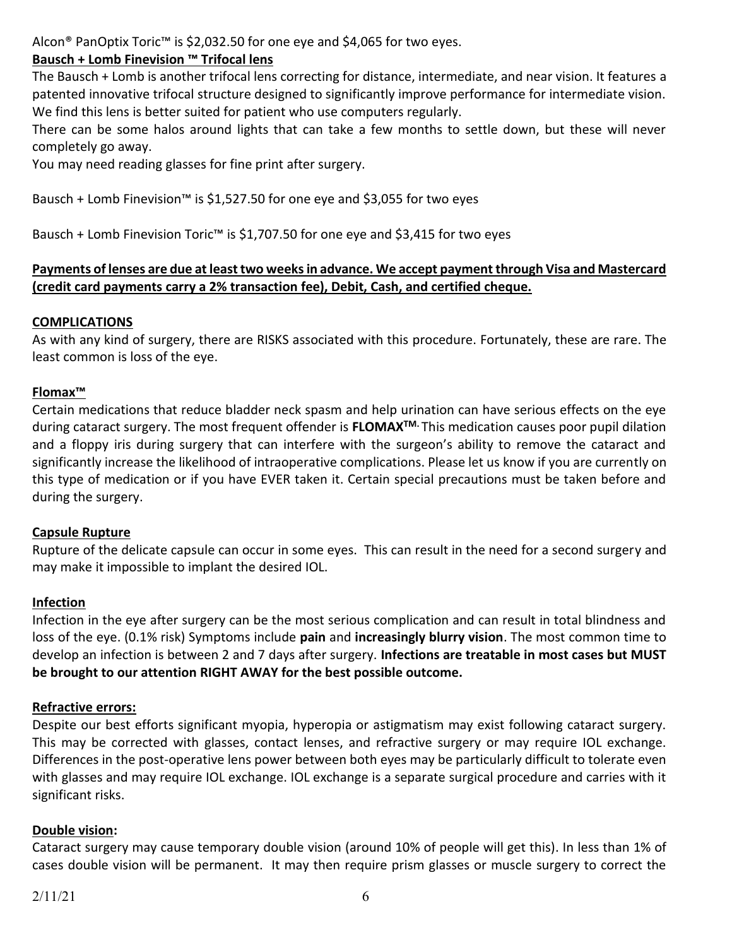Alcon® PanOptix Toric™ is \$2,032.50 for one eye and \$4,065 for two eyes.

## **Bausch + Lomb Finevision ™ Trifocal lens**

The Bausch + Lomb is another trifocal lens correcting for distance, intermediate, and near vision. It features a patented innovative trifocal structure designed to significantly improve performance for intermediate vision. We find this lens is better suited for patient who use computers regularly.

There can be some halos around lights that can take a few months to settle down, but these will never completely go away.

You may need reading glasses for fine print after surgery.

Bausch + Lomb Finevision™ is \$1,527.50 for one eye and \$3,055 for two eyes

Bausch + Lomb Finevision Toric™ is \$1,707.50 for one eye and \$3,415 for two eyes

#### **Payments of lenses are due at least two weeksin advance. We accept payment through Visa and Mastercard (credit card payments carry a 2% transaction fee), Debit, Cash, and certified cheque.**

#### **COMPLICATIONS**

As with any kind of surgery, there are RISKS associated with this procedure. Fortunately, these are rare. The least common is loss of the eye.

## **Flomax™**

Certain medications that reduce bladder neck spasm and help urination can have serious effects on the eye during cataract surgery. The most frequent offender is **FLOMAXTM.** This medication causes poor pupil dilation and a floppy iris during surgery that can interfere with the surgeon's ability to remove the cataract and significantly increase the likelihood of intraoperative complications. Please let us know if you are currently on this type of medication or if you have EVER taken it. Certain special precautions must be taken before and during the surgery.

#### **Capsule Rupture**

Rupture of the delicate capsule can occur in some eyes. This can result in the need for a second surgery and may make it impossible to implant the desired IOL.

#### **Infection**

Infection in the eye after surgery can be the most serious complication and can result in total blindness and loss of the eye. (0.1% risk) Symptoms include **pain** and **increasingly blurry vision**. The most common time to develop an infection is between 2 and 7 days after surgery. **Infections are treatable in most cases but MUST be brought to our attention RIGHT AWAY for the best possible outcome.**

#### **Refractive errors:**

Despite our best efforts significant myopia, hyperopia or astigmatism may exist following cataract surgery. This may be corrected with glasses, contact lenses, and refractive surgery or may require IOL exchange. Differences in the post-operative lens power between both eyes may be particularly difficult to tolerate even with glasses and may require IOL exchange. IOL exchange is a separate surgical procedure and carries with it significant risks.

#### **Double vision:**

Cataract surgery may cause temporary double vision (around 10% of people will get this). In less than 1% of cases double vision will be permanent. It may then require prism glasses or muscle surgery to correct the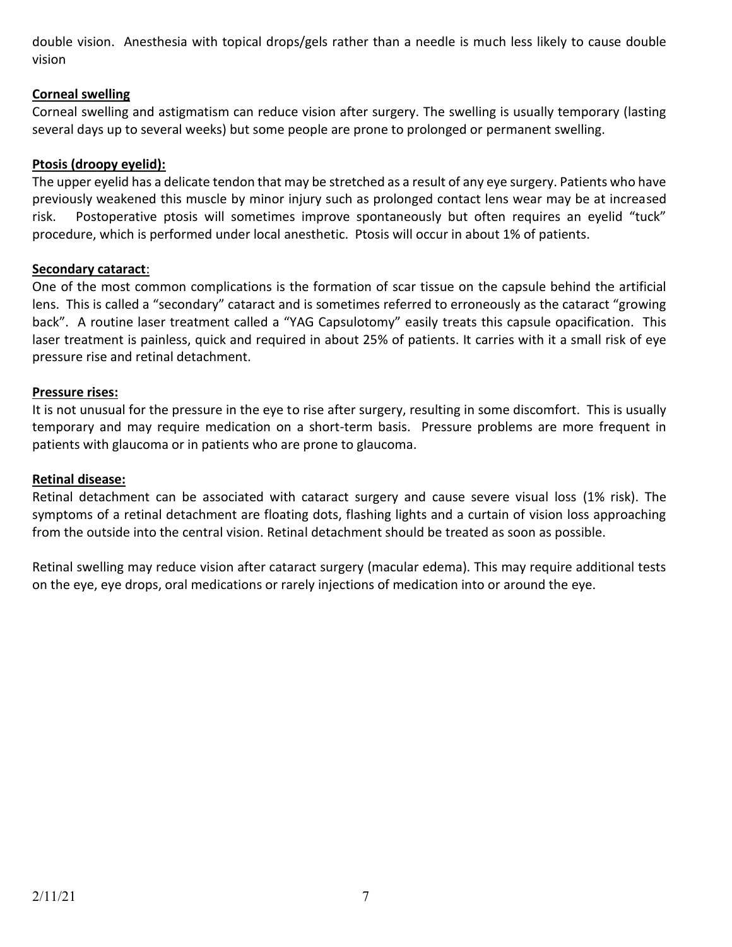double vision. Anesthesia with topical drops/gels rather than a needle is much less likely to cause double vision

### **Corneal swelling**

Corneal swelling and astigmatism can reduce vision after surgery. The swelling is usually temporary (lasting several days up to several weeks) but some people are prone to prolonged or permanent swelling.

## **Ptosis (droopy eyelid):**

The upper eyelid has a delicate tendon that may be stretched as a result of any eye surgery. Patients who have previously weakened this muscle by minor injury such as prolonged contact lens wear may be at increased risk. Postoperative ptosis will sometimes improve spontaneously but often requires an eyelid "tuck" procedure, which is performed under local anesthetic. Ptosis will occur in about 1% of patients.

## **Secondary cataract**:

One of the most common complications is the formation of scar tissue on the capsule behind the artificial lens. This is called a "secondary" cataract and is sometimes referred to erroneously as the cataract "growing back". A routine laser treatment called a "YAG Capsulotomy" easily treats this capsule opacification. This laser treatment is painless, quick and required in about 25% of patients. It carries with it a small risk of eye pressure rise and retinal detachment.

## **Pressure rises:**

It is not unusual for the pressure in the eye to rise after surgery, resulting in some discomfort. This is usually temporary and may require medication on a short-term basis. Pressure problems are more frequent in patients with glaucoma or in patients who are prone to glaucoma.

## **Retinal disease:**

Retinal detachment can be associated with cataract surgery and cause severe visual loss (1% risk). The symptoms of a retinal detachment are floating dots, flashing lights and a curtain of vision loss approaching from the outside into the central vision. Retinal detachment should be treated as soon as possible.

Retinal swelling may reduce vision after cataract surgery (macular edema). This may require additional tests on the eye, eye drops, oral medications or rarely injections of medication into or around the eye.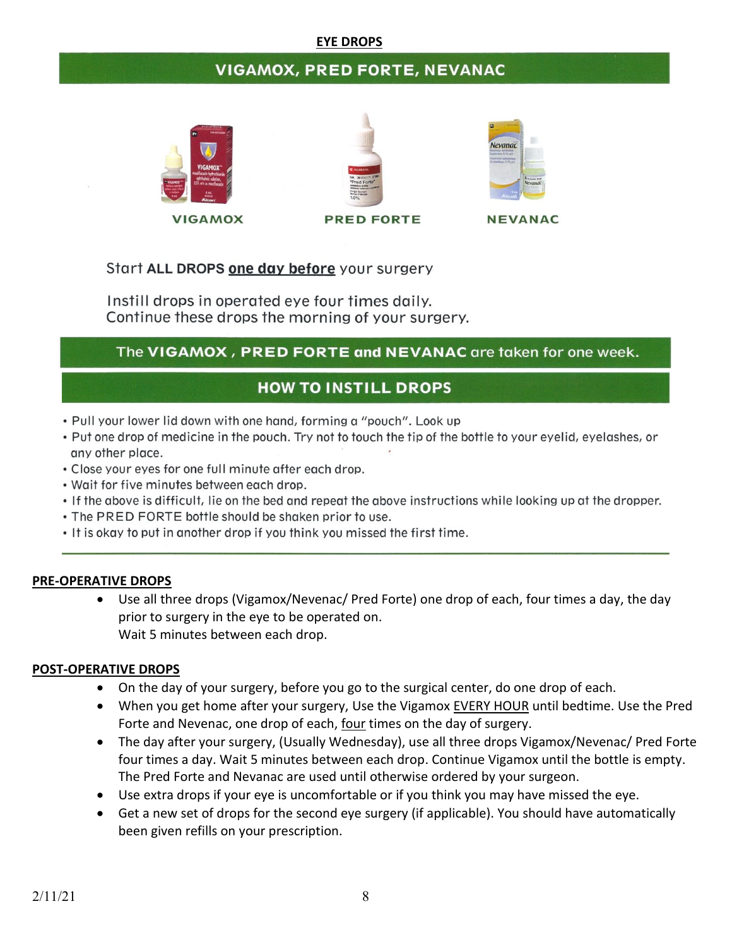#### **EYE DROPS**

## **VIGAMOX, PRED FORTE, NEVANAC**



**VIGAMOX** 





**NEVANAC** 

## Start ALL DROPS one day before your surgery

Instill drops in operated eye four times daily. Continue these drops the morning of your surgery.

## The VIGAMOX, PRED FORTE and NEVANAC are taken for one week.

## **HOW TO INSTILL DROPS**

- . Pull your lower lid down with one hand, forming a "pouch". Look up
- Put one drop of medicine in the pouch. Try not to touch the tip of the bottle to your eyelid, eyelashes, or any other place.
- . Close your eyes for one full minute after each drop.
- . Wait for five minutes between each drop.
- . If the above is difficult, lie on the bed and repeat the above instructions while looking up at the dropper.
- . The PRED FORTE bottle should be shaken prior to use.
- . It is okay to put in another drop if you think you missed the first time.

#### **PRE-OPERATIVE DROPS**

• Use all three drops (Vigamox/Nevenac/ Pred Forte) one drop of each, four times a day, the day prior to surgery in the eye to be operated on. Wait 5 minutes between each drop.

#### **POST-OPERATIVE DROPS**

- On the day of your surgery, before you go to the surgical center, do one drop of each.
- When you get home after your surgery, Use the Vigamox EVERY HOUR until bedtime. Use the Pred Forte and Nevenac, one drop of each, four times on the day of surgery.
- The day after your surgery, (Usually Wednesday), use all three drops Vigamox/Nevenac/ Pred Forte four times a day. Wait 5 minutes between each drop. Continue Vigamox until the bottle is empty. The Pred Forte and Nevanac are used until otherwise ordered by your surgeon.
- Use extra drops if your eye is uncomfortable or if you think you may have missed the eye.
- Get a new set of drops for the second eye surgery (if applicable). You should have automatically been given refills on your prescription.